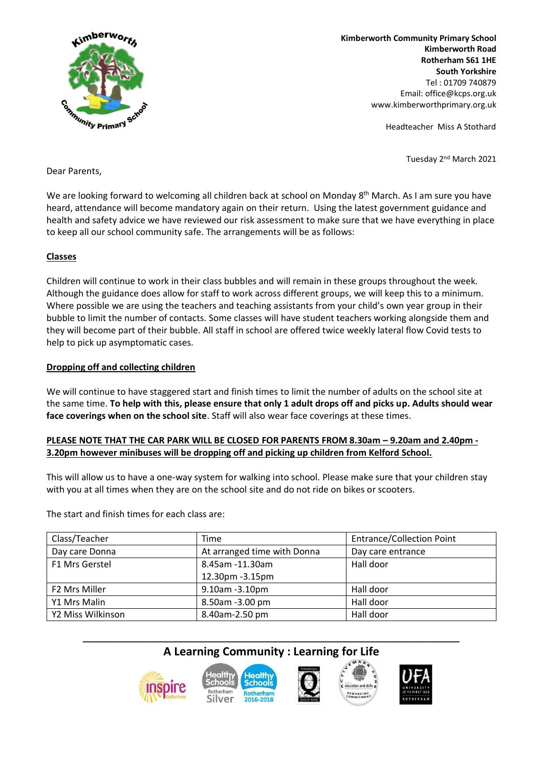

**Kimberworth Community Primary School Kimberworth Road Rotherham S61 1HE South Yorkshire** Tel : 01709 740879 Email: office@kcps.org.uk www.kimberworthprimary.org.uk

Headteacher Miss A Stothard

Tuesday 2nd March 2021

#### Dear Parents,

We are looking forward to welcoming all children back at school on Monday 8<sup>th</sup> March. As I am sure you have heard, attendance will become mandatory again on their return. Using the latest government guidance and health and safety advice we have reviewed our risk assessment to make sure that we have everything in place to keep all our school community safe. The arrangements will be as follows:

# **Classes**

Children will continue to work in their class bubbles and will remain in these groups throughout the week. Although the guidance does allow for staff to work across different groups, we will keep this to a minimum. Where possible we are using the teachers and teaching assistants from your child's own year group in their bubble to limit the number of contacts. Some classes will have student teachers working alongside them and they will become part of their bubble. All staff in school are offered twice weekly lateral flow Covid tests to help to pick up asymptomatic cases.

# **Dropping off and collecting children**

We will continue to have staggered start and finish times to limit the number of adults on the school site at the same time. **To help with this, please ensure that only 1 adult drops off and picks up. Adults should wear face coverings when on the school site**. Staff will also wear face coverings at these times.

# **PLEASE NOTE THAT THE CAR PARK WILL BE CLOSED FOR PARENTS FROM 8.30am – 9.20am and 2.40pm - 3.20pm however minibuses will be dropping off and picking up children from Kelford School.**

This will allow us to have a one-way system for walking into school. Please make sure that your children stay with you at all times when they are on the school site and do not ride on bikes or scooters.

The start and finish times for each class are:

| Class/Teacher     | Time                        | <b>Entrance/Collection Point</b> |
|-------------------|-----------------------------|----------------------------------|
| Day care Donna    | At arranged time with Donna | Day care entrance                |
| F1 Mrs Gerstel    | 8.45am -11.30am             | Hall door                        |
|                   | 12.30pm - 3.15pm            |                                  |
| F2 Mrs Miller     | 9.10am -3.10pm              | Hall door                        |
| Y1 Mrs Malin      | 8.50am -3.00 pm             | Hall door                        |
| Y2 Miss Wilkinson | 8.40am-2.50 pm              | Hall door                        |

# **\_\_\_\_\_\_\_\_\_\_\_\_\_\_\_\_\_\_\_\_\_\_\_\_\_\_\_\_\_\_\_\_\_\_\_\_\_\_\_\_\_\_\_\_\_\_\_\_\_\_\_\_\_\_\_\_\_\_\_ A Learning Community : Learning for Life**



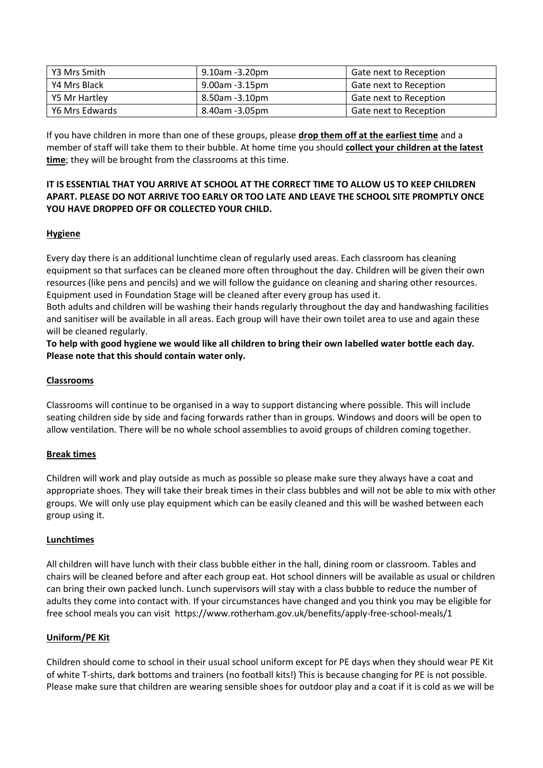| Y3 Mrs Smith   | 9.10am -3.20pm | Gate next to Reception |
|----------------|----------------|------------------------|
| Y4 Mrs Black   | 9.00am -3.15pm | Gate next to Reception |
| Y5 Mr Hartley  | 8.50am -3.10pm | Gate next to Reception |
| Y6 Mrs Edwards | 8.40am -3.05pm | Gate next to Reception |

If you have children in more than one of these groups, please **drop them off at the earliest time** and a member of staff will take them to their bubble. At home time you should **collect your children at the latest time**; they will be brought from the classrooms at this time.

# **IT IS ESSENTIAL THAT YOU ARRIVE AT SCHOOL AT THE CORRECT TIME TO ALLOW US TO KEEP CHILDREN APART. PLEASE DO NOT ARRIVE TOO EARLY OR TOO LATE AND LEAVE THE SCHOOL SITE PROMPTLY ONCE YOU HAVE DROPPED OFF OR COLLECTED YOUR CHILD.**

# **Hygiene**

Every day there is an additional lunchtime clean of regularly used areas. Each classroom has cleaning equipment so that surfaces can be cleaned more often throughout the day. Children will be given their own resources (like pens and pencils) and we will follow the guidance on cleaning and sharing other resources. Equipment used in Foundation Stage will be cleaned after every group has used it.

Both adults and children will be washing their hands regularly throughout the day and handwashing facilities and sanitiser will be available in all areas. Each group will have their own toilet area to use and again these will be cleaned regularly.

**To help with good hygiene we would like all children to bring their own labelled water bottle each day. Please note that this should contain water only.**

# **Classrooms**

Classrooms will continue to be organised in a way to support distancing where possible. This will include seating children side by side and facing forwards rather than in groups. Windows and doors will be open to allow ventilation. There will be no whole school assemblies to avoid groups of children coming together.

#### **Break times**

Children will work and play outside as much as possible so please make sure they always have a coat and appropriate shoes. They will take their break times in their class bubbles and will not be able to mix with other groups. We will only use play equipment which can be easily cleaned and this will be washed between each group using it.

#### **Lunchtimes**

All children will have lunch with their class bubble either in the hall, dining room or classroom. Tables and chairs will be cleaned before and after each group eat. Hot school dinners will be available as usual or children can bring their own packed lunch. Lunch supervisors will stay with a class bubble to reduce the number of adults they come into contact with. If your circumstances have changed and you think you may be eligible for free school meals you can visit <https://www.rotherham.gov.uk/benefits/apply-free-school-meals/1>

#### **Uniform/PE Kit**

Children should come to school in their usual school uniform except for PE days when they should wear PE Kit of white T-shirts, dark bottoms and trainers (no football kits!) This is because changing for PE is not possible. Please make sure that children are wearing sensible shoes for outdoor play and a coat if it is cold as we will be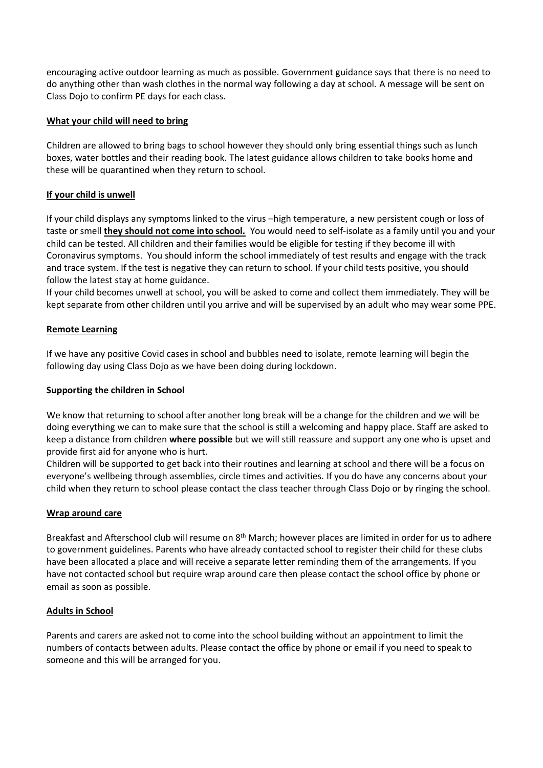encouraging active outdoor learning as much as possible. Government guidance says that there is no need to do anything other than wash clothes in the normal way following a day at school. A message will be sent on Class Dojo to confirm PE days for each class.

# **What your child will need to bring**

Children are allowed to bring bags to school however they should only bring essential things such as lunch boxes, water bottles and their reading book. The latest guidance allows children to take books home and these will be quarantined when they return to school.

# **If your child is unwell**

If your child displays any symptoms linked to the virus –high temperature, a new persistent cough or loss of taste or smell **they should not come into school.** You would need to self-isolate as a family until you and your child can be tested. All children and their families would be eligible for testing if they become ill with Coronavirus symptoms. You should inform the school immediately of test results and engage with the track and trace system. If the test is negative they can return to school. If your child tests positive, you should follow the latest stay at home guidance.

If your child becomes unwell at school, you will be asked to come and collect them immediately. They will be kept separate from other children until you arrive and will be supervised by an adult who may wear some PPE.

# **Remote Learning**

If we have any positive Covid cases in school and bubbles need to isolate, remote learning will begin the following day using Class Dojo as we have been doing during lockdown.

#### **Supporting the children in School**

We know that returning to school after another long break will be a change for the children and we will be doing everything we can to make sure that the school is still a welcoming and happy place. Staff are asked to keep a distance from children **where possible** but we will still reassure and support any one who is upset and provide first aid for anyone who is hurt.

Children will be supported to get back into their routines and learning at school and there will be a focus on everyone's wellbeing through assemblies, circle times and activities. If you do have any concerns about your child when they return to school please contact the class teacher through Class Dojo or by ringing the school.

#### **Wrap around care**

Breakfast and Afterschool club will resume on 8<sup>th</sup> March; however places are limited in order for us to adhere to government guidelines. Parents who have already contacted school to register their child for these clubs have been allocated a place and will receive a separate letter reminding them of the arrangements. If you have not contacted school but require wrap around care then please contact the school office by phone or email as soon as possible.

#### **Adults in School**

Parents and carers are asked not to come into the school building without an appointment to limit the numbers of contacts between adults. Please contact the office by phone or email if you need to speak to someone and this will be arranged for you.